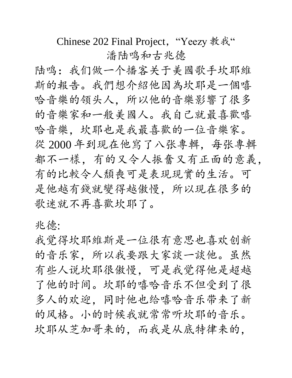Chinese 202 Final Project, "Yeezy 教我" 潘陆鸣和古兆德

陆鸣:我们做一个播客关于美國歌手坎耶維 斯的報告。我們想介紹他因為坎耶是一個嘻 哈音樂的领头人,所以他的音樂影響了很多 的音樂家和一般美國人。我自己就最喜歡嘻 哈音樂,坎耶也是我最喜歡的一位音樂家。 從 2000年到現在他寫了八张專輯, 每张專輯 都不一樣,有的又令人振奮又有正面的意義, 有的比較令人頹喪可是表現現實的生活。可 是他越有錢就變得越傲慢,所以現在很多的 歌迷就不再喜歡坎耶了。

兆德:

我觉得坎耶維斯是一位很有意思也喜欢创新 的音乐家,所以我要跟大家談一談他。虽然 有些人说坎耶很傲慢,可是我觉得他是超越 了他的时间。坎耶的嘻哈音乐不但受到了很 多人的欢迎,同时他也给嘻哈音乐带来了新 的风格。小的时候我就常常听坎耶的音乐。 坎耶从芝加哥来的,而我是从底特律来的,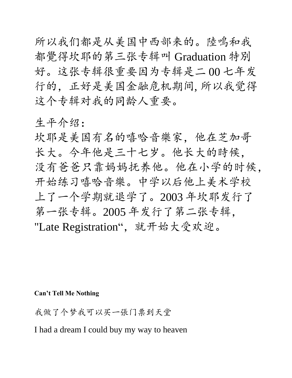所以我们都是从美国中西部来的。陸鳴和我 都覺得坎耶的第三张专辑叫 Graduation 特別 好。这张专辑很重要因为专辑是二 00 七年发 行的,正好是美国金融危机期间, 所以我觉得 这个专辑对我的同龄人重要。

生平介绍:

坎耶是美国有名的嘻哈音樂家,他在芝加哥 长大。今年他是三十七岁。他长大的時候, 没有爸爸只靠妈妈抚养他。他在小学的时候, 开始练习嘻哈音樂。中学以后他上美术学校 上了一个学期就退学了。2003 年坎耶发行了 第一张专辑。2005 年发行了第二张专辑, "Late Registration", 就开始大受欢迎。

**Can't Tell Me Nothing**

我做了个梦我可以买一張门票到天堂

I had a dream I could buy my way to heaven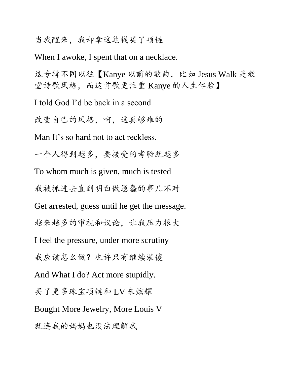#### 当我醒来,我却拿这笔钱买了项链

When I awoke, I spent that on a necklace.

这专辑不同以往【Kanye 以前的歌曲, 比如 Jesus Walk 是教 堂诗歌风格,而这首歌更注重 Kanye 的人生体验】

I told God I'd be back in a second

改变自己的风格,啊,这真够难的

Man It's so hard not to act reckless.

一个人得到越多,要接受的考验就越多

To whom much is given, much is tested

我被抓进去直到明白做愚蠢的事儿不对

Get arrested, guess until he get the message.

越来越多的审视和议论,让我压力很大

I feel the pressure, under more scrutiny

我应该怎么做?也许只有继续装傻

And What I do? Act more stupidly.

买了更多珠宝项链和 LV 来炫耀

Bought More Jewelry, More Louis V

就连我的妈妈也没法理解我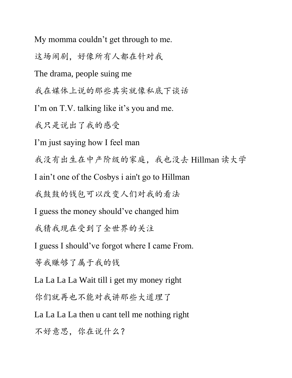My momma couldn't get through to me.

这场闹剧,好像所有人都在针对我

The drama, people suing me

我在媒体上说的那些其实就像私底下谈话

I'm on T.V. talking like it's you and me.

我只是说出了我的感受

I'm just saying how I feel man

我没有出生在中产阶级的家庭,我也没去 Hillman 读大学

I ain't one of the Cosbys i ain't go to Hillman

我鼓鼓的钱包可以改变人们对我的看法

I guess the money should've changed him

我猜我现在受到了全世界的关注

I guess I should've forgot where I came From.

等我赚够了属于我的钱

La La La La Wait till i get my money right

你们就再也不能对我讲那些大道理了

La La La La then u cant tell me nothing right

不好意思,你在说什么?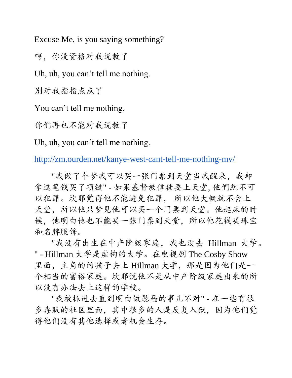Excuse Me, is you saying something?

哼,你没资格对我说教了

Uh, uh, you can't tell me nothing.

别对我指指点点了

You can't tell me nothing.

你们再也不能对我说教了

Uh, uh, you can't tell me nothing.

<http://zm.ourden.net/kanye-west-cant-tell-me-nothing-mv/>

"我做了个梦我可以买一张门票到天堂当我醒来,我却 拿这笔钱买了项链" - 如果基督教信徒要上天堂, 他們就不可 以犯罪。坎耶觉得他不能避免犯罪, 所以他大概就不会上 天堂,所以他只梦见他可以买一个门票到天堂。他起床的时 候,他明白他也不能买一张门票到天堂,所以他花钱买珠宝 和名牌服饰。

"我没有出生在中产阶级家庭,我也没去 Hillman 大学。 " - Hillman 大学是虚构的大学。在电视剧 The Cosby Show 里面,主角的的孩子去上 Hillman 大学,那是因为他们是一 个相当的富裕家庭。坎耶说他不是从中产阶级家庭出来的所 以没有办法去上这样的学校。

"我被抓进去直到明白做愚蠢的事儿不对" - 在一些有很 多毒贩的社区里面,其中很多的人是反复入狱,因为他们觉 得他们没有其他选择或者机会生存。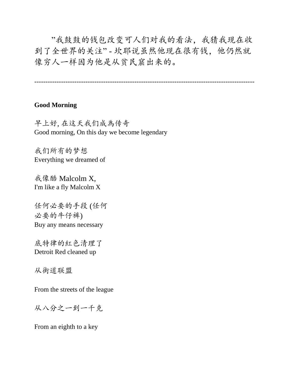"我鼓鼓的钱包改变可人们对我的看法,我猜我现在收 到了全世界的关注" - 坎耶说虽然他现在很有钱,他仍然就 像穷人一样因为他是从贫民窟出来的。

---------------------------------------------------------------------------------------------------

#### **Good Morning**

早上好, 在这天我[们成為传](http://mandarinspot.com/dict?word=%E6%88%90%E7%82%BA&phs=pinyin&a=1)奇 Good morning, On this day we become legendary

我们所有的梦想 Everything we dreamed of

我像酷 Malcolm X, I'm like a fly Malcolm X

任何必要的手段 (任何 必要的牛仔裤) Buy any means necessary

底特律的紅色清理了 Detroit Red cleaned up

从街道联盟

From the streets of the league

从八分之一到一千克

From an eighth to a key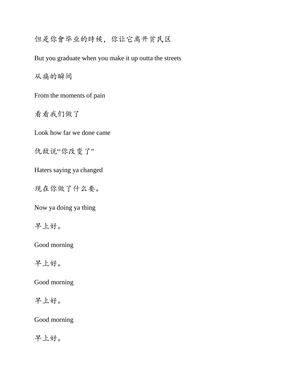但是你會毕业的時候,你让它离开贫民区

But you graduate when you make it up outta the streets

从痛的瞬间

From the moments of pain

看看我们做了

Look how far we done came

仇敌说"你改变了"

Haters saying ya changed

现在你做了什么要。

Now ya doing ya thing

早上好。

Good morning

早上好。

Good morning

早上好。

Good morning

早上好。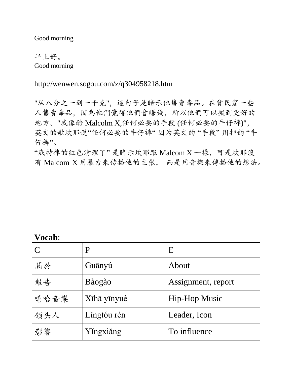Good morning

早上好。 Good morning

http://wenwen.sogou.com/z/q304958218.htm

"从八分之一到一千克",這句子是暗示他售賣毒品。在貧民窟一些 人售賣毒品,因為他們覺得他們會賺錢,所以他們可以搬到更好的 地方。"我像酷 Malcolm X,任何必要的手段 (任何必要的牛仔裤)", 英文的歌坎耶说"任何必要的牛仔裤" 因为英文的 "手段" 用押韵 "牛 仔裤"。

"底特律的紅色清理了" 是暗示坎耶跟 Malcom X 一樣,可是坎耶沒 有 Malcom X 用暴力来传播他的主张, 而是用音樂来傳播他的想法。

#### **Vocab**:

|      | P           | Ε                    |
|------|-------------|----------------------|
| 關於   | Guānyú      | About                |
| 報告   | Bàogào      | Assignment, report   |
| 嘻哈音樂 | Xīhā yīnyuè | <b>Hip-Hop Music</b> |
| 领头人  | Lingtóu rén | Leader, Icon         |
| 影響   | Yingxiǎng   | To influence         |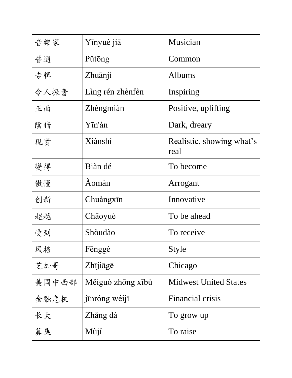| 音樂家   | Yīnyuè jiā        | Musician                          |
|-------|-------------------|-----------------------------------|
| 普通    | Pǔtōng            | Common                            |
| 专辑    | Zhuānjí           | Albums                            |
| 令人振奮  | Lìng rén zhènfèn  | Inspiring                         |
| 正面    | Zhèngmiàn         | Positive, uplifting               |
| 陰暗    | Yīn'àn            | Dark, dreary                      |
| 現實    | Xiànshí           | Realistic, showing what's<br>real |
| 變得    | Biàn dé           | To become                         |
| 傲慢    | Àomàn             | Arrogant                          |
| 创新    | Chuàngxin         | Innovative                        |
| 超越    | Chāoyuè           | To be ahead                       |
| 受到    | Shòudào           | To receive                        |
| 风格    | Fēnggé            | Style                             |
| 芝加哥   | Zhījiāgē          | Chicago                           |
| 美国中西部 | Měiguó zhōng xībù | <b>Midwest United States</b>      |
| 金融危机  | jīnróng wéijī     | Financial crisis                  |
| 长大    | Zhăng dà          | To grow up                        |
| 募集    | Mùjí              | To raise                          |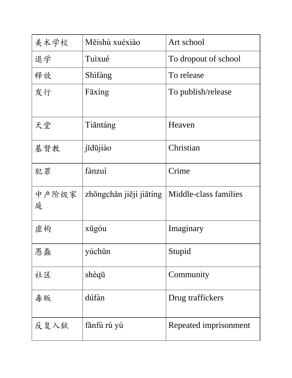| 美术学校       | Měishù xuéxiào          | Art school            |
|------------|-------------------------|-----------------------|
| 退学         | Tuìxué                  | To dropout of school  |
| 释放         | Shìfàng                 | To release            |
| 发行         | Fāxing                  | To publish/release    |
| 天堂         | Tiāntáng                | Heaven                |
| 基督教        | jīdūjiào                | Christian             |
| 犯罪         | fànzuì                  | Crime                 |
|            |                         |                       |
| 中产阶级家<br>庭 | zhōngchǎn jiējí jiātíng | Middle-class families |
| 虚构         | xūgòu                   | Imaginary             |
| 思蠢         | yúchǔn                  | Stupid                |
| 社区         | shèqū                   | Community             |
| 毒贩         | dúfàn                   | Drug traffickers      |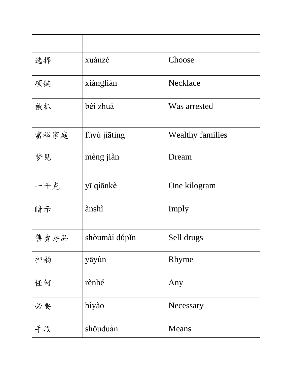| 选择   | xuǎnzé        | Choose                  |
|------|---------------|-------------------------|
| 项链   | xiàngliàn     | Necklace                |
| 被抓   | bèi zhuā      | Was arrested            |
| 富裕家庭 | fùyù jiātíng  | <b>Wealthy families</b> |
| 梦见   | mèng jiàn     | Dream                   |
| 一千克  | yī qiānkè     | One kilogram            |
| 暗示   | ànshì         | Imply                   |
| 售賣毒品 | shòumài dúpin | Sell drugs              |
| 押韵   | yāyùn         | Rhyme                   |
| 任何   | rènhé         | Any                     |
| 必要   | bìyào         | Necessary               |
| 手段   | shŏuduàn      | Means                   |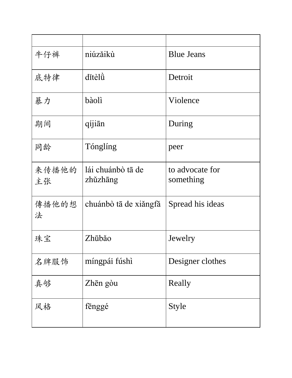| 牛仔裤         | niúzăikù                      | <b>Blue Jeans</b>            |
|-------------|-------------------------------|------------------------------|
| 底特律         | ditèlu                        | Detroit                      |
| 暴力          | bàolì                         | Violence                     |
| 期间          | qíjiān                        | During                       |
| 同龄          | Tónglíng                      | peer                         |
| 来传播他的<br>主张 | lái chuánbò tā de<br>zhǔzhāng | to advocate for<br>something |
| 傳播他的想<br>法  | chuánbò tā de xiǎngfǎ         | Spread his ideas             |
| 珠宝          | Zhūbǎo                        | Jewelry                      |
| 名牌服饰        | míngpái fúshì                 | Designer clothes             |
| 真够          | Zhēn gòu                      | Really                       |
| 风格          | fenggé                        | <b>Style</b>                 |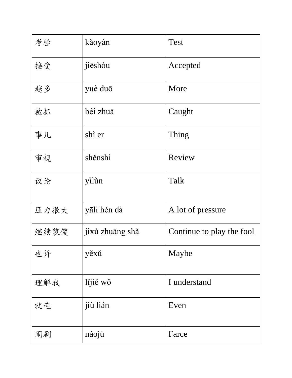| 考验   | kǎoyàn          | <b>Test</b>               |
|------|-----------------|---------------------------|
| 接受   | jieshou         | Accepted                  |
| 越多   | yuè duō         | More                      |
| 被抓   | bèi zhuā        | Caught                    |
| 事儿   | shì er          | Thing                     |
| 审视   | shěnshì         | Review                    |
| 议论   | yìlùn           | Talk                      |
| 压力很大 | yālì hěn dà     | A lot of pressure         |
| 继续装傻 | jixù zhuāng shǎ | Continue to play the fool |
| 也许   | yěxů            | Maybe                     |
| 理解我  | lijiě wǒ        | I understand              |
| 就连   | jiù lián        | Even                      |
| 闹剧   | nàojù           | Farce                     |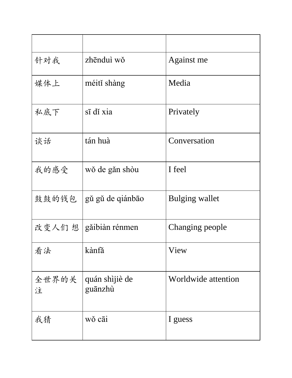| 针对我        | zhēnduì wǒ                | Against me          |
|------------|---------------------------|---------------------|
| 媒体上        | méití shàng               | Media               |
| 私底下        | $s\bar{1}$ di xia         | Privately           |
| 谈话         | tán huà                   | Conversation        |
| 我的感受       | wǒ de gǎn shòu            | I feel              |
| 鼓鼓的钱包      | gǔ gǔ de qiánbāo          | Bulging wallet      |
|            | 改变人们 想   gǎibiàn rénmen   | Changing people     |
| 看法         | kànfă                     | View                |
| 全世界的关<br>注 | quán shìjiè de<br>guānzhù | Worldwide attention |
| 我猜         | wǒ cāi                    | I guess             |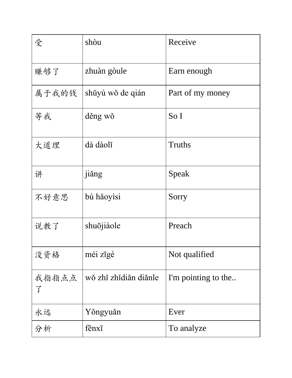| 受          | shòu                   | Receive             |
|------------|------------------------|---------------------|
| 赚够了        | zhuàn gòule            | Earn enough         |
| 属于我的钱      | shǔyú wǒ de qián       | Part of my money    |
| 等我         | děng wǒ                | So I                |
| 大道理        | dà dàolĭ               | Truths              |
| 讲          | jiǎng                  | Speak               |
| 不好意思       | bù hǎoyìsi             | Sorry               |
| 说教了        | shuōjiàole             | Preach              |
| 没资格        | méi zīgé               | Not qualified       |
| 我指指点点<br>了 | wǒ zhǐ zhǐ diǎn diǎnle | I'm pointing to the |
| 永远         | Yǒngyuǎn               | Ever                |
| 分析         | fenxi                  | To analyze          |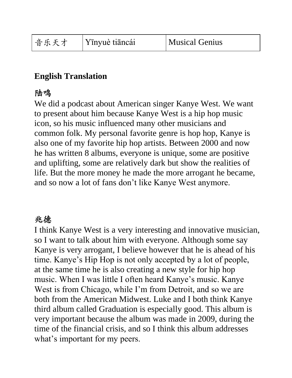### **English Translation**

### 陆鸣

We did a podcast about American singer Kanye West. We want to present about him because Kanye West is a hip hop music icon, so his music influenced many other musicians and common folk. My personal favorite genre is hop hop, Kanye is also one of my favorite hip hop artists. Between 2000 and now he has written 8 albums, everyone is unique, some are positive and uplifting, some are relatively dark but show the realities of life. But the more money he made the more arrogant he became, and so now a lot of fans don't like Kanye West anymore.

# 兆德

I think Kanye West is a very interesting and innovative musician, so I want to talk about him with everyone. Although some say Kanye is very arrogant, I believe however that he is ahead of his time. Kanye's Hip Hop is not only accepted by a lot of people, at the same time he is also creating a new style for hip hop music. When I was little I often heard Kanye's music. Kanye West is from Chicago, while I'm from Detroit, and so we are both from the American Midwest. Luke and I both think Kanye third album called Graduation is especially good. This album is very important because the album was made in 2009, during the time of the financial crisis, and so I think this album addresses what's important for my peers.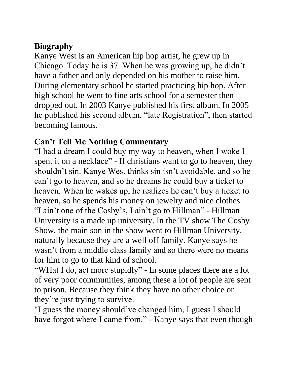# **Biography**

Kanye West is an American hip hop artist, he grew up in Chicago. Today he is 37. When he was growing up, he didn't have a father and only depended on his mother to raise him. During elementary school he started practicing hip hop. After high school he went to fine arts school for a semester then dropped out. In 2003 Kanye published his first album. In 2005 he published his second album, "late Registration", then started becoming famous.

# **Can't Tell Me Nothing Commentary**

"I had a dream I could buy my way to heaven, when I woke I spent it on a necklace" - If christians want to go to heaven, they shouldn't sin. Kanye West thinks sin isn't avoidable, and so he can't go to heaven, and so he dreams he could buy a ticket to heaven. When he wakes up, he realizes he can't buy a ticket to heaven, so he spends his money on jewelry and nice clothes. "I ain't one of the Cosby's, I ain't go to Hillman" - Hillman University is a made up university. In the TV show The Cosby Show, the main son in the show went to Hillman University, naturally because they are a well off family. Kanye says he wasn't from a middle class family and so there were no means for him to go to that kind of school.

"WHat I do, act more stupidly" - In some places there are a lot of very poor communities, among these a lot of people are sent to prison. Because they think they have no other choice or they're just trying to survive.

"I guess the money should've changed him, I guess I should have forgot where I came from." - Kanye says that even though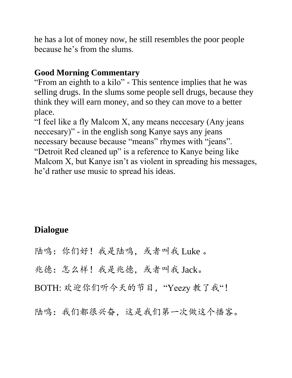he has a lot of money now, he still resembles the poor people because he's from the slums.

#### **Good Morning Commentary**

"From an eighth to a kilo" - This sentence implies that he was selling drugs. In the slums some people sell drugs, because they think they will earn money, and so they can move to a better place.

"I feel like a fly Malcom X, any means neccesary (Any jeans neccesary)" - in the english song Kanye says any jeans necessary because because "means" rhymes with "jeans". "Detroit Red cleaned up" is a reference to Kanye being like Malcom X, but Kanye isn't as violent in spreading his messages, he'd rather use music to spread his ideas.

# **Dialogue**

- 陆鸣: 你们好! 我是陆鸣, 或者叫我 Luke 。
- 兆德:怎么样!我是兆德,或者叫我 Jack。
- BOTH: 欢迎你们听今天的节目, "Yeezy 教了我"!
- 陆鸣:我们都很兴奋,这是我们第一次做这个播客。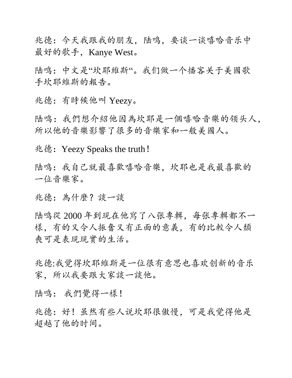兆德:今天我跟我的朋友,陆鸣,要谈一谈嘻哈音乐中 最好的歌手, Kanye West。

陆鸣:中文是"坎耶維斯"。我们做一个播客关于美國歌 手坎耶維斯的報告。

兆德:有時候他叫 Yeezy。

陆鸣:我們想介紹他因為坎耶是一個嘻哈音樂的领头人, 所以他的音樂影響了很多的音樂家和一般美國人。

兆德:Yeezy Speaks the truth!

陆鸣:我自己就最喜歡嘻哈音樂,坎耶也是我最喜歡的 一位音樂家。

兆德:為什麼?談一談

陆鸣從 2000 年到現在他寫了八张專輯,每张專輯都不一 樣,有的又令人振奮又有正面的意義,有的比較令人頹 喪可是表現現實的生活。

兆德:我觉得坎耶維斯是一位很有意思也喜欢创新的音乐 家,所以我要跟大家談一談他。

陆鸣: 我們覺得一樣!

兆德:好!虽然有些人说坎耶很傲慢,可是我觉得他是 超越了他的时间。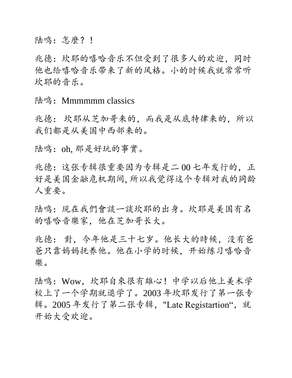陆鸣: 怎麼? !

兆德:坎耶的嘻哈音乐不但受到了很多人的欢迎,同时 他也给嘻哈音乐带来了新的风格。小的时候我就常常听 坎耶的音乐。

陆鸣: Mmmmmm classics

兆德: 坎耶从芝加哥来的,而我是从底特律来的,所以 我们都是从美国中西部来的。

陆鸣:oh, 那是好玩的事實。

兆德:这张专辑很重要因为专辑是二 00 七年发行的,正 好是美国金融危机期间, 所以我觉得这个专辑对我的同龄 人重要。

陆鸣:現在我們會談一談坎耶的出身。坎耶是美国有名 的嘻哈音樂家,他在芝加哥长大。

兆德: 對,今年他是三十七岁。他长大的時候,没有爸 爸只靠妈妈抚养他。他在小学的时候,开始练习嘻哈音 樂。

陆鸣:Wow,坎耶自來很有雄心!中学以后他上美术学 校上了一个学期就退学了。2003 年坎耶发行了第一张专 辑。2005年发行了第二张专辑, "Late Registartion", 就 开始大受欢迎。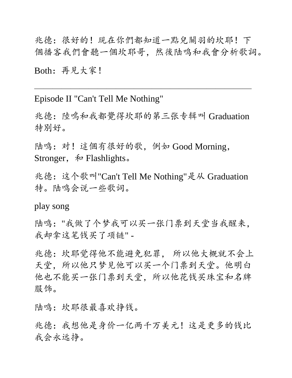兆德:很好的!現在你們都知道一點兒關羽的坎耶!下 個播客我們會聽一個坎耶哥,然後陆鸣和我會分析歌詞。 Both:再見大家!

Episode II "Can't Tell Me Nothing"

兆德:陸鳴和我都覺得坎耶的第三张专辑叫 Graduation 特別好。

 $\overline{\phantom{a}}$  , and the contract of the contract of the contract of the contract of the contract of the contract of the contract of the contract of the contract of the contract of the contract of the contract of the contrac

陆鸣:对!這個有很好的歌,例如 Good Morning, Stronger,  $\bar{\mathcal{F}}$  Flashlights.

兆德:这个歌叫"Can't Tell Me Nothing"是从 Graduation 特。陆鸣会说一些歌词。

play song

陆鸣:"我做了个梦我可以买一张门票到天堂当我醒来, 我却拿这笔钱买了项链" -

兆德:坎耶觉得他不能避免犯罪, 所以他大概就不会上 天堂,所以他只梦见他可以买一个门票到天堂。他明白 他也不能买一张门票到天堂,所以他花钱买珠宝和名牌 服饰。

陆鸣:坎耶很最喜欢挣钱。

兆德:我想他是身价一亿两千万美元!这是更多的钱比 我会永远挣。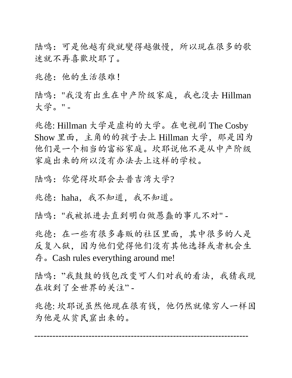陆鸣:可是他越有錢就變得越傲慢,所以現在很多的歌 迷就不再喜歡坎耶了。

兆德:他的生活很难!

陆鸣:"我没有出生在中产阶级家庭,我也没去 Hillman 大学。" -

兆德: Hillman 大学是虚构的大学。在电视剧 The Cosby Show 里面,主角的的孩子去上 Hillman 大学,那是因为 他们是一个相当的富裕家庭。坎耶说他不是从中产阶级 家庭出来的所以没有办法去上这样的学校。

陆鸣:你觉得坎耶会去普吉湾大学?

兆德:haha,我不知道,我不知道。

陆鸣:"我被抓进去直到明白做愚蠢的事儿不对" -

兆德:在一些有很多毒贩的社区里面,其中很多的人是 反复入狱,因为他们觉得他们没有其他选择或者机会生 存。Cash rules everything around me!

陆鸣: "我鼓鼓的钱包改变可人们对我的看法, 我猜我现 在收到了全世界的关注" -

兆德: 坎耶说虽然他现在很有钱,他仍然就像穷人一样因 为他是从贫民窟出来的。

-----------------------------------------------------------------------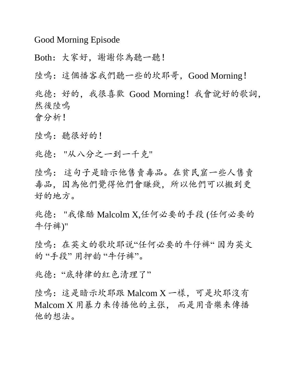Good Morning Episode

Both:大家好,謝謝你為聽一聽!

陸鳴:這個播客我們聽一些的坎耶哥,Good Morning!

兆德:好的,我很喜歡 Good Morning!我會說好的歌詞, 然後陸鳴

會分析!

陸鳴: 聽很好的!

兆德: "从八分之一到一千克"

陸鳴: 這句子是暗示他售賣毒品。在貧民窟一些人售賣 毒品,因為他們覺得他們會賺錢,所以他們可以搬到更 好的地方。

兆德: "我像酷 Malcolm X,任何必要的手段 (任何必要的 牛仔裤)"

陸鳴:在英文的歌坎耶说"任何必要的牛仔裤" 因为英文 的"手段"用押韵"牛仔裤"。

兆德: "底特律的紅色清理了"

陸鳴:這是暗示坎耶跟 Malcom X 一樣,可是坎耶沒有 Malcom X 用暴力来传播他的主张, 而是用音樂来傳播 他的想法。